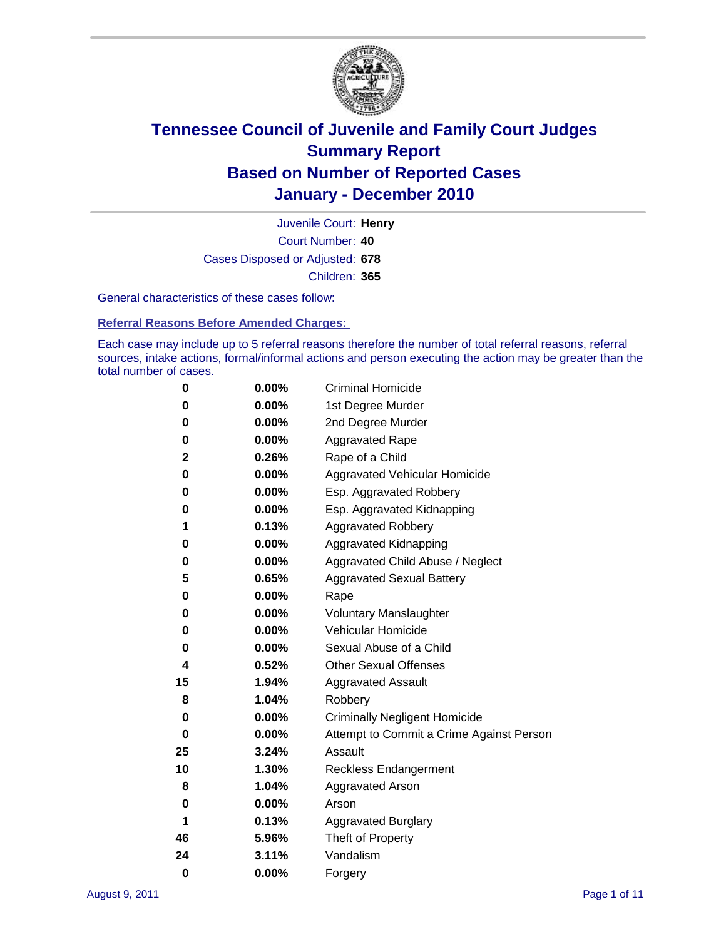

Court Number: **40** Juvenile Court: **Henry** Cases Disposed or Adjusted: **678** Children: **365**

General characteristics of these cases follow:

**Referral Reasons Before Amended Charges:** 

Each case may include up to 5 referral reasons therefore the number of total referral reasons, referral sources, intake actions, formal/informal actions and person executing the action may be greater than the total number of cases.

| 0  | 0.00% | <b>Criminal Homicide</b>                 |  |  |
|----|-------|------------------------------------------|--|--|
| 0  | 0.00% | 1st Degree Murder                        |  |  |
| 0  | 0.00% | 2nd Degree Murder                        |  |  |
| 0  | 0.00% | <b>Aggravated Rape</b>                   |  |  |
| 2  | 0.26% | Rape of a Child                          |  |  |
| 0  | 0.00% | Aggravated Vehicular Homicide            |  |  |
| 0  | 0.00% | Esp. Aggravated Robbery                  |  |  |
| 0  | 0.00% | Esp. Aggravated Kidnapping               |  |  |
| 1  | 0.13% | <b>Aggravated Robbery</b>                |  |  |
| 0  | 0.00% | Aggravated Kidnapping                    |  |  |
| 0  | 0.00% | Aggravated Child Abuse / Neglect         |  |  |
| 5  | 0.65% | <b>Aggravated Sexual Battery</b>         |  |  |
| 0  | 0.00% | Rape                                     |  |  |
| 0  | 0.00% | <b>Voluntary Manslaughter</b>            |  |  |
| 0  | 0.00% | Vehicular Homicide                       |  |  |
| 0  | 0.00% | Sexual Abuse of a Child                  |  |  |
| 4  | 0.52% | <b>Other Sexual Offenses</b>             |  |  |
| 15 | 1.94% | <b>Aggravated Assault</b>                |  |  |
| 8  | 1.04% | Robbery                                  |  |  |
| 0  | 0.00% | <b>Criminally Negligent Homicide</b>     |  |  |
| 0  | 0.00% | Attempt to Commit a Crime Against Person |  |  |
| 25 | 3.24% | Assault                                  |  |  |
| 10 | 1.30% | <b>Reckless Endangerment</b>             |  |  |
| 8  | 1.04% | <b>Aggravated Arson</b>                  |  |  |
| 0  | 0.00% | Arson                                    |  |  |
| 1  | 0.13% | <b>Aggravated Burglary</b>               |  |  |
| 46 | 5.96% | Theft of Property                        |  |  |
| 24 | 3.11% | Vandalism                                |  |  |
| 0  | 0.00% | Forgery                                  |  |  |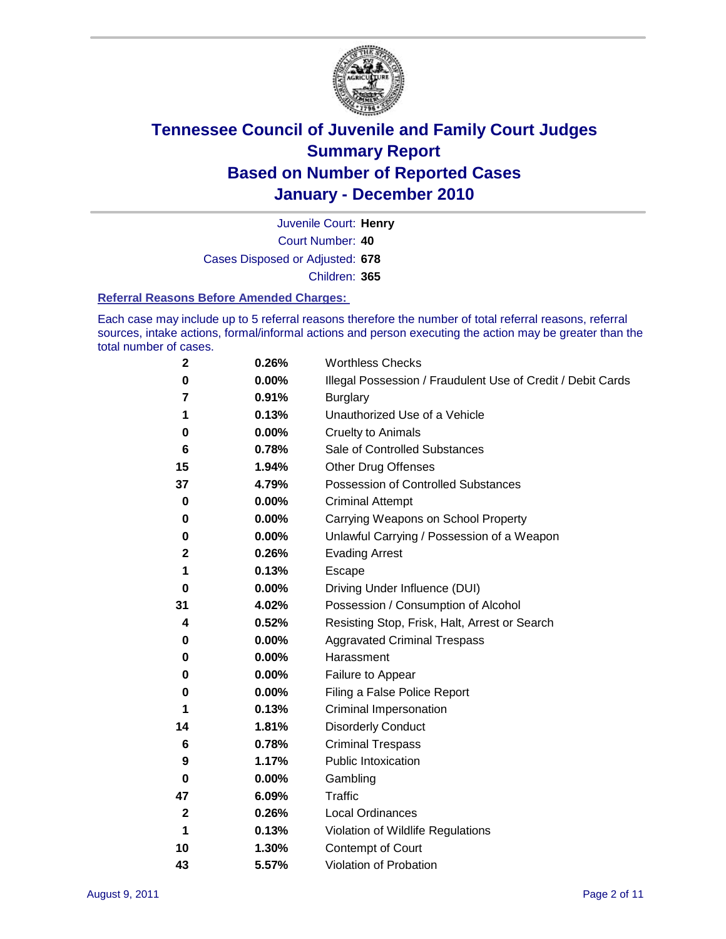

Court Number: **40** Juvenile Court: **Henry** Cases Disposed or Adjusted: **678** Children: **365**

#### **Referral Reasons Before Amended Charges:**

Each case may include up to 5 referral reasons therefore the number of total referral reasons, referral sources, intake actions, formal/informal actions and person executing the action may be greater than the total number of cases.

| 2  | 0.26% | <b>Worthless Checks</b>                                     |  |  |
|----|-------|-------------------------------------------------------------|--|--|
| 0  | 0.00% | Illegal Possession / Fraudulent Use of Credit / Debit Cards |  |  |
| 7  | 0.91% | <b>Burglary</b>                                             |  |  |
| 1  | 0.13% | Unauthorized Use of a Vehicle                               |  |  |
| 0  | 0.00% | <b>Cruelty to Animals</b>                                   |  |  |
| 6  | 0.78% | Sale of Controlled Substances                               |  |  |
| 15 | 1.94% | <b>Other Drug Offenses</b>                                  |  |  |
| 37 | 4.79% | Possession of Controlled Substances                         |  |  |
| 0  | 0.00% | <b>Criminal Attempt</b>                                     |  |  |
| 0  | 0.00% | Carrying Weapons on School Property                         |  |  |
| 0  | 0.00% | Unlawful Carrying / Possession of a Weapon                  |  |  |
| 2  | 0.26% | <b>Evading Arrest</b>                                       |  |  |
| 1  | 0.13% | Escape                                                      |  |  |
| 0  | 0.00% | Driving Under Influence (DUI)                               |  |  |
| 31 | 4.02% | Possession / Consumption of Alcohol                         |  |  |
| 4  | 0.52% | Resisting Stop, Frisk, Halt, Arrest or Search               |  |  |
| 0  | 0.00% | <b>Aggravated Criminal Trespass</b>                         |  |  |
| 0  | 0.00% | Harassment                                                  |  |  |
| 0  | 0.00% | Failure to Appear                                           |  |  |
| 0  | 0.00% | Filing a False Police Report                                |  |  |
| 1  | 0.13% | Criminal Impersonation                                      |  |  |
| 14 | 1.81% | <b>Disorderly Conduct</b>                                   |  |  |
| 6  | 0.78% | <b>Criminal Trespass</b>                                    |  |  |
| 9  | 1.17% | <b>Public Intoxication</b>                                  |  |  |
| 0  | 0.00% | Gambling                                                    |  |  |
| 47 | 6.09% | <b>Traffic</b>                                              |  |  |
| 2  | 0.26% | <b>Local Ordinances</b>                                     |  |  |
| 1  | 0.13% | Violation of Wildlife Regulations                           |  |  |
| 10 | 1.30% | Contempt of Court                                           |  |  |
| 43 | 5.57% | Violation of Probation                                      |  |  |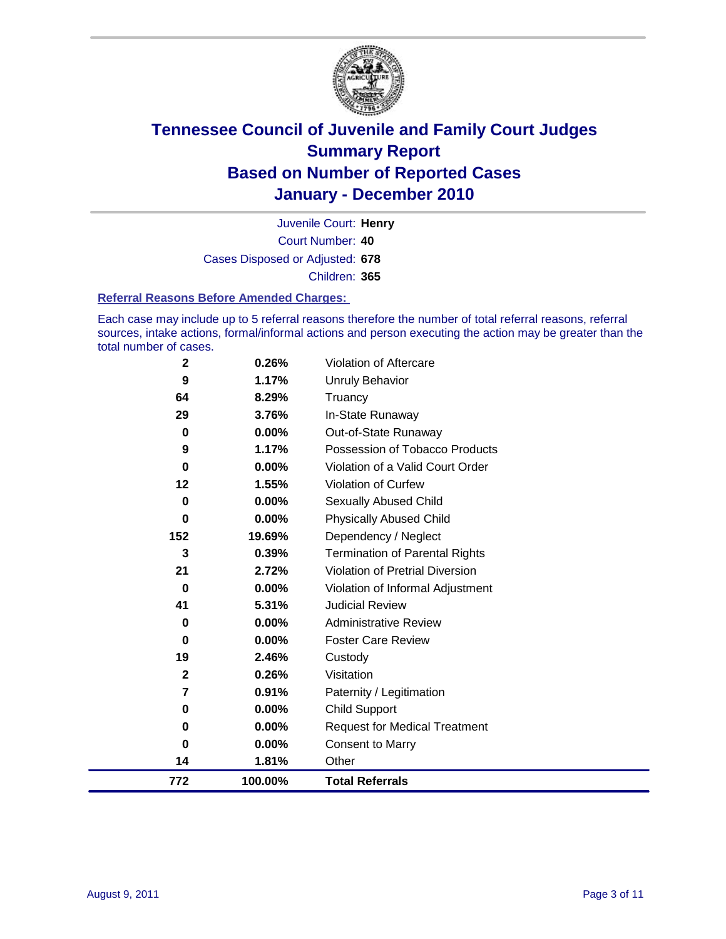

Court Number: **40** Juvenile Court: **Henry** Cases Disposed or Adjusted: **678** Children: **365**

#### **Referral Reasons Before Amended Charges:**

Each case may include up to 5 referral reasons therefore the number of total referral reasons, referral sources, intake actions, formal/informal actions and person executing the action may be greater than the total number of cases.

| $\mathbf 2$ | 0.26%    | Violation of Aftercare                 |
|-------------|----------|----------------------------------------|
| 9           | 1.17%    | <b>Unruly Behavior</b>                 |
| 64          | 8.29%    | Truancy                                |
| 29          | 3.76%    | In-State Runaway                       |
| $\mathbf 0$ | 0.00%    | Out-of-State Runaway                   |
| 9           | 1.17%    | Possession of Tobacco Products         |
| $\bf{0}$    | $0.00\%$ | Violation of a Valid Court Order       |
| 12          | 1.55%    | <b>Violation of Curfew</b>             |
| 0           | $0.00\%$ | <b>Sexually Abused Child</b>           |
| $\bf{0}$    | 0.00%    | <b>Physically Abused Child</b>         |
| 152         | 19.69%   | Dependency / Neglect                   |
| 3           | 0.39%    | <b>Termination of Parental Rights</b>  |
| 21          | 2.72%    | <b>Violation of Pretrial Diversion</b> |
| $\bf{0}$    | 0.00%    | Violation of Informal Adjustment       |
| 41          | 5.31%    | <b>Judicial Review</b>                 |
| 0           | 0.00%    | <b>Administrative Review</b>           |
| 0           | $0.00\%$ | <b>Foster Care Review</b>              |
| 19          | 2.46%    | Custody                                |
| $\mathbf 2$ | 0.26%    | Visitation                             |
| 7           | 0.91%    | Paternity / Legitimation               |
| 0           | 0.00%    | <b>Child Support</b>                   |
| 0           | 0.00%    | <b>Request for Medical Treatment</b>   |
| $\bf{0}$    | 0.00%    | <b>Consent to Marry</b>                |
| 14          | 1.81%    | Other                                  |
| 772         | 100.00%  | <b>Total Referrals</b>                 |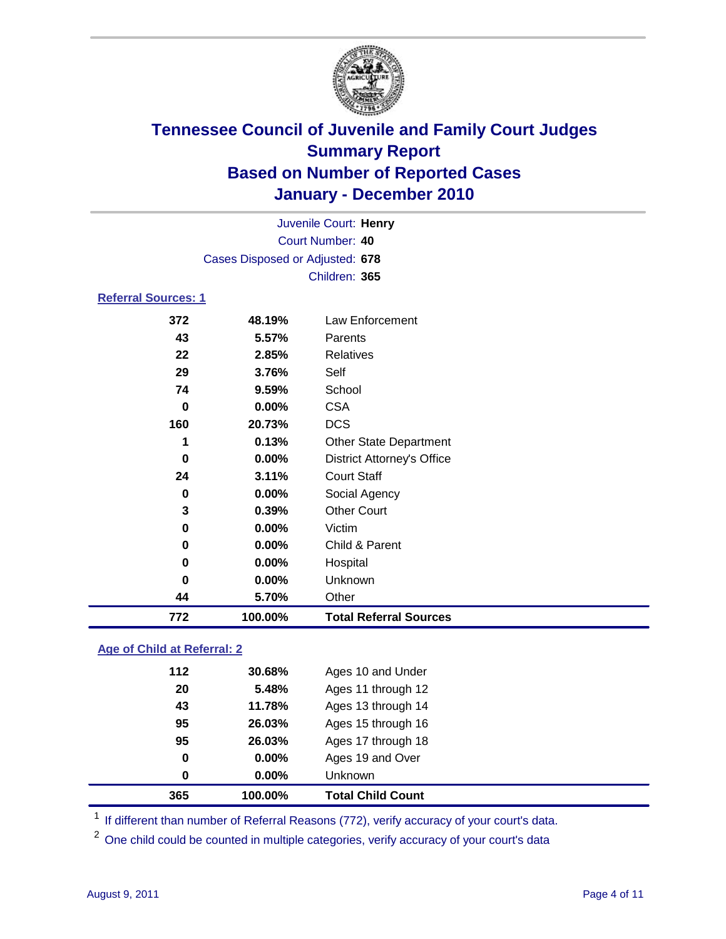

| Juvenile Court: Henry      |                                 |                                   |  |
|----------------------------|---------------------------------|-----------------------------------|--|
|                            | Court Number: 40                |                                   |  |
|                            | Cases Disposed or Adjusted: 678 |                                   |  |
|                            |                                 | Children: 365                     |  |
| <b>Referral Sources: 1</b> |                                 |                                   |  |
| 372                        | 48.19%                          | Law Enforcement                   |  |
| 43                         | 5.57%                           | Parents                           |  |
| 22                         | 2.85%                           | <b>Relatives</b>                  |  |
| 29                         | 3.76%                           | Self                              |  |
| 74                         | 9.59%                           | School                            |  |
| 0                          | 0.00%                           | <b>CSA</b>                        |  |
| 160                        | 20.73%                          | <b>DCS</b>                        |  |
| 1                          | 0.13%                           | <b>Other State Department</b>     |  |
| 0                          | 0.00%                           | <b>District Attorney's Office</b> |  |
| 24                         | 3.11%                           | <b>Court Staff</b>                |  |
| 0                          | 0.00%                           | Social Agency                     |  |
| 3                          | 0.39%                           | <b>Other Court</b>                |  |
| 0                          | 0.00%                           | Victim                            |  |
| 0                          | 0.00%                           | Child & Parent                    |  |
| 0                          | 0.00%                           | Hospital                          |  |
| 0                          | 0.00%                           | Unknown                           |  |
| 44                         | 5.70%                           | Other                             |  |
| 772                        | 100.00%                         | <b>Total Referral Sources</b>     |  |

### **Age of Child at Referral: 2**

| 365 | 100.00% | <b>Total Child Count</b> |
|-----|---------|--------------------------|
| 0   | 0.00%   | Unknown                  |
| 0   | 0.00%   | Ages 19 and Over         |
| 95  | 26.03%  | Ages 17 through 18       |
| 95  | 26.03%  | Ages 15 through 16       |
| 43  | 11.78%  | Ages 13 through 14       |
| 20  | 5.48%   | Ages 11 through 12       |
| 112 | 30.68%  | Ages 10 and Under        |
|     |         |                          |

<sup>1</sup> If different than number of Referral Reasons (772), verify accuracy of your court's data.

<sup>2</sup> One child could be counted in multiple categories, verify accuracy of your court's data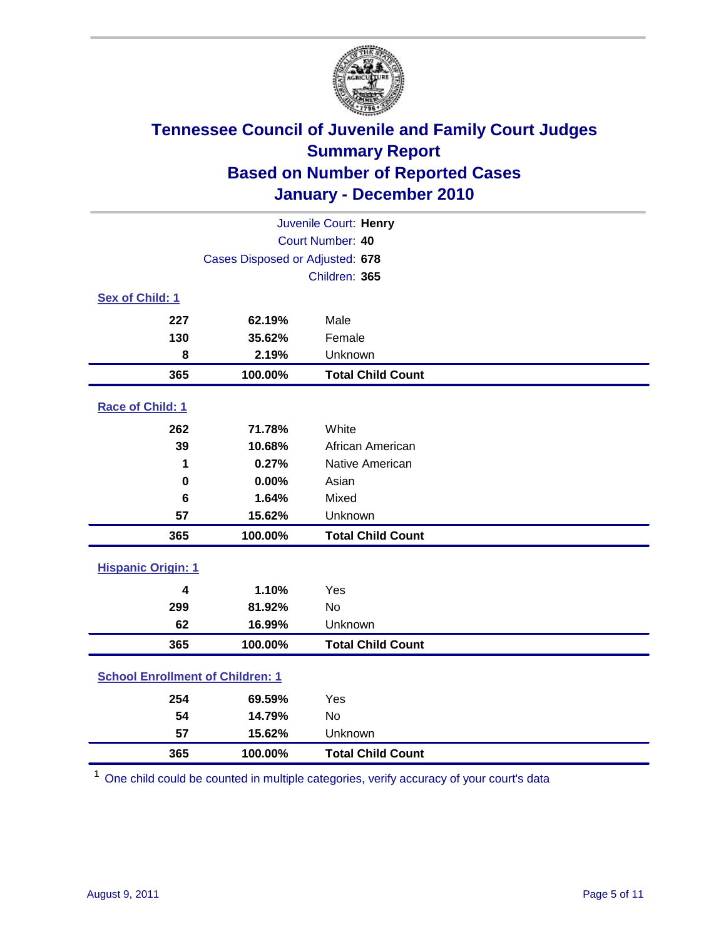

| Juvenile Court: Henry                   |                                 |                          |  |  |
|-----------------------------------------|---------------------------------|--------------------------|--|--|
|                                         | Court Number: 40                |                          |  |  |
|                                         | Cases Disposed or Adjusted: 678 |                          |  |  |
|                                         |                                 | Children: 365            |  |  |
| Sex of Child: 1                         |                                 |                          |  |  |
| 227                                     | 62.19%                          | Male                     |  |  |
| 130                                     | 35.62%                          | Female                   |  |  |
| 8                                       | 2.19%                           | Unknown                  |  |  |
| 365                                     | 100.00%                         | <b>Total Child Count</b> |  |  |
| Race of Child: 1                        |                                 |                          |  |  |
| 262                                     | 71.78%                          | White                    |  |  |
| 39                                      | 10.68%                          | African American         |  |  |
| 1                                       | 0.27%                           | Native American          |  |  |
| $\mathbf 0$                             | 0.00%                           | Asian                    |  |  |
| $6\phantom{1}$                          | 1.64%                           | Mixed                    |  |  |
| 57                                      | 15.62%                          | Unknown                  |  |  |
| 365                                     | 100.00%                         | <b>Total Child Count</b> |  |  |
| <b>Hispanic Origin: 1</b>               |                                 |                          |  |  |
| 4                                       | 1.10%                           | Yes                      |  |  |
| 299                                     | 81.92%                          | <b>No</b>                |  |  |
| 62                                      | 16.99%                          | Unknown                  |  |  |
| 365                                     | 100.00%                         | <b>Total Child Count</b> |  |  |
| <b>School Enrollment of Children: 1</b> |                                 |                          |  |  |
| 254                                     | 69.59%                          | Yes                      |  |  |
| 54                                      | 14.79%                          | No                       |  |  |
| 57                                      | 15.62%                          | Unknown                  |  |  |
| 365                                     | 100.00%                         | <b>Total Child Count</b> |  |  |

One child could be counted in multiple categories, verify accuracy of your court's data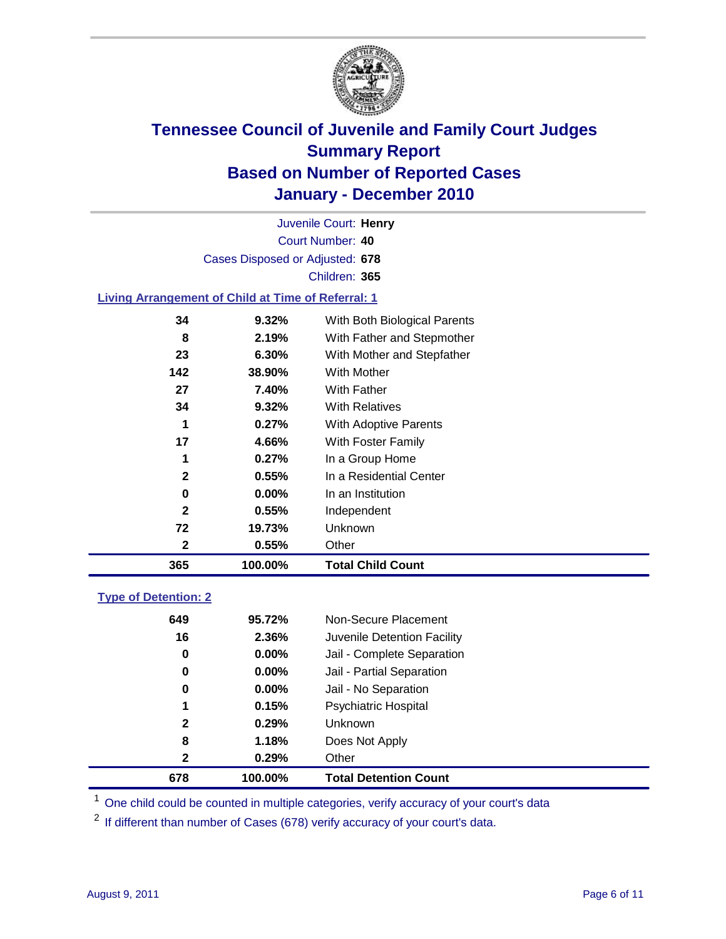

Court Number: **40** Juvenile Court: **Henry** Cases Disposed or Adjusted: **678** Children: **365**

### **Living Arrangement of Child at Time of Referral: 1**

| 365          | 100.00%  | <b>Total Child Count</b>     |
|--------------|----------|------------------------------|
| 2            | 0.55%    | Other                        |
| 72           | 19.73%   | Unknown                      |
| $\mathbf{2}$ | 0.55%    | Independent                  |
| 0            | $0.00\%$ | In an Institution            |
| $\mathbf{2}$ | 0.55%    | In a Residential Center      |
| 1            | 0.27%    | In a Group Home              |
| 17           | 4.66%    | With Foster Family           |
| 1            | 0.27%    | With Adoptive Parents        |
| 34           | 9.32%    | <b>With Relatives</b>        |
| 27           | 7.40%    | With Father                  |
| 142          | 38.90%   | With Mother                  |
| 23           | 6.30%    | With Mother and Stepfather   |
| 8            | 2.19%    | With Father and Stepmother   |
| 34           | 9.32%    | With Both Biological Parents |
|              |          |                              |

#### **Type of Detention: 2**

| 678          | 100.00%  | <b>Total Detention Count</b> |
|--------------|----------|------------------------------|
| $\mathbf{2}$ | 0.29%    | Other                        |
| 8            | 1.18%    | Does Not Apply               |
| $\mathbf{2}$ | 0.29%    | Unknown                      |
| 1            | 0.15%    | Psychiatric Hospital         |
| 0            | 0.00%    | Jail - No Separation         |
| 0            | $0.00\%$ | Jail - Partial Separation    |
| 0            | 0.00%    | Jail - Complete Separation   |
| 16           | 2.36%    | Juvenile Detention Facility  |
| 649          | 95.72%   | Non-Secure Placement         |
|              |          |                              |

<sup>1</sup> One child could be counted in multiple categories, verify accuracy of your court's data

<sup>2</sup> If different than number of Cases (678) verify accuracy of your court's data.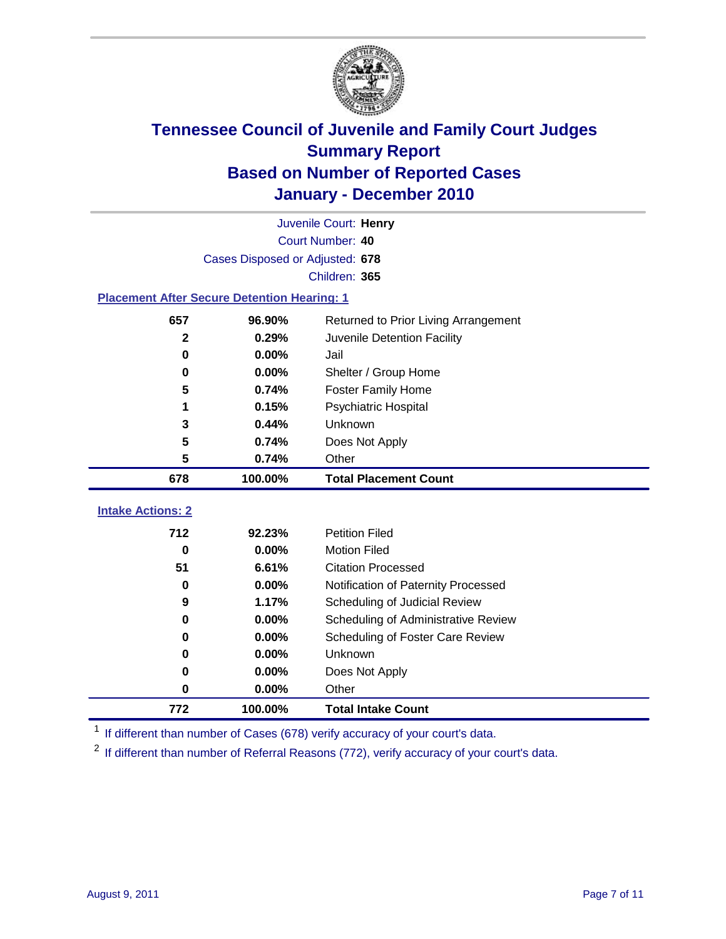

| Juvenile Court: Henry                              |                                 |                                      |  |  |  |
|----------------------------------------------------|---------------------------------|--------------------------------------|--|--|--|
|                                                    | Court Number: 40                |                                      |  |  |  |
|                                                    | Cases Disposed or Adjusted: 678 |                                      |  |  |  |
|                                                    |                                 | Children: 365                        |  |  |  |
| <b>Placement After Secure Detention Hearing: 1</b> |                                 |                                      |  |  |  |
| 657                                                | 96.90%                          | Returned to Prior Living Arrangement |  |  |  |
| $\mathbf{2}$                                       | 0.29%                           | Juvenile Detention Facility          |  |  |  |
| 0                                                  | 0.00%                           | Jail                                 |  |  |  |
| 0                                                  | 0.00%                           | Shelter / Group Home                 |  |  |  |
| 5                                                  | 0.74%                           | <b>Foster Family Home</b>            |  |  |  |
|                                                    | 0.15%                           | Psychiatric Hospital                 |  |  |  |
| 3                                                  | 0.44%                           | Unknown                              |  |  |  |
| 5                                                  | 0.74%                           | Does Not Apply                       |  |  |  |
| 5                                                  | 0.74%                           | Other                                |  |  |  |
| 678                                                | 100.00%                         | <b>Total Placement Count</b>         |  |  |  |
| <b>Intake Actions: 2</b>                           |                                 |                                      |  |  |  |
| 712                                                | 92.23%                          | <b>Petition Filed</b>                |  |  |  |
| $\bf{0}$                                           | 0.00%                           | <b>Motion Filed</b>                  |  |  |  |
| 51                                                 | 6.61%                           | <b>Citation Processed</b>            |  |  |  |
| 0                                                  | 0.00%                           | Notification of Paternity Processed  |  |  |  |
| 9                                                  | 1.17%                           | Scheduling of Judicial Review        |  |  |  |
| $\bf{0}$                                           | 0.00%                           | Scheduling of Administrative Review  |  |  |  |
| 0                                                  | 0.00%                           | Scheduling of Foster Care Review     |  |  |  |
| $\bf{0}$                                           | 0.00%                           | Unknown                              |  |  |  |
| $\bf{0}$                                           | 0.00%                           | Does Not Apply                       |  |  |  |
| 0                                                  | 0.00%                           | Other                                |  |  |  |

<sup>1</sup> If different than number of Cases (678) verify accuracy of your court's data.

**100.00% Total Intake Count**

<sup>2</sup> If different than number of Referral Reasons (772), verify accuracy of your court's data.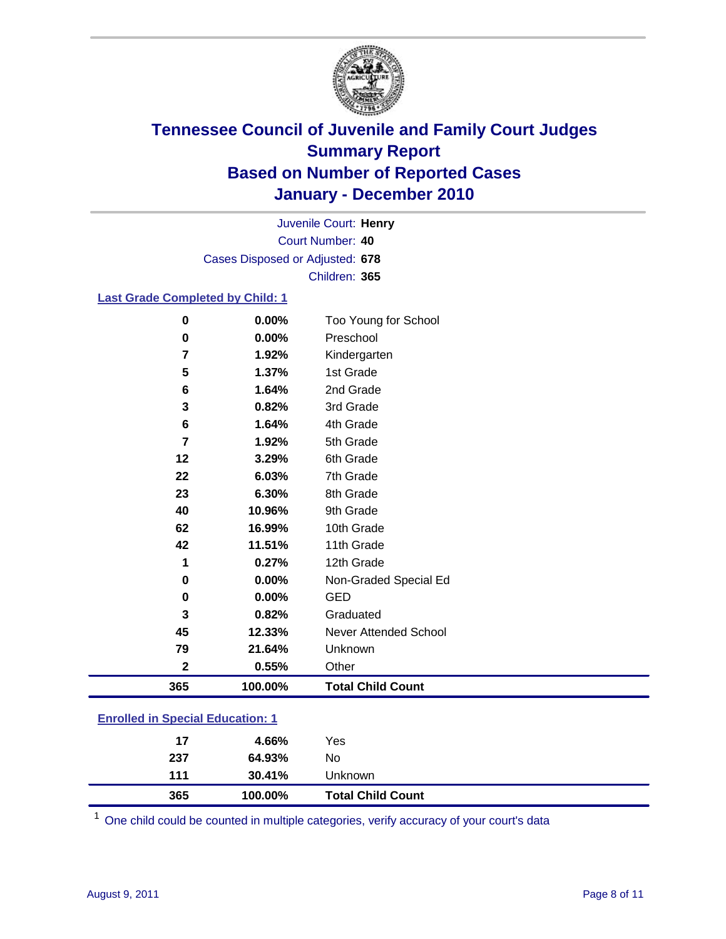

Court Number: **40** Juvenile Court: **Henry** Cases Disposed or Adjusted: **678** Children: **365**

### **Last Grade Completed by Child: 1**

| 365         | 100.00% | <b>Total Child Count</b>     |
|-------------|---------|------------------------------|
| $\mathbf 2$ | 0.55%   | Other                        |
| 79          | 21.64%  | Unknown                      |
| 45          | 12.33%  | <b>Never Attended School</b> |
| 3           | 0.82%   | Graduated                    |
| 0           | 0.00%   | <b>GED</b>                   |
| 0           | 0.00%   | Non-Graded Special Ed        |
| 1           | 0.27%   | 12th Grade                   |
| 42          | 11.51%  | 11th Grade                   |
| 62          | 16.99%  | 10th Grade                   |
| 40          | 10.96%  | 9th Grade                    |
| 23          | 6.30%   | 8th Grade                    |
| 22          | 6.03%   | 7th Grade                    |
| 12          | 3.29%   | 6th Grade                    |
| 7           | 1.92%   | 5th Grade                    |
| 6           | 1.64%   | 4th Grade                    |
| 3           | 0.82%   | 3rd Grade                    |
| 6           | 1.64%   | 2nd Grade                    |
| 5           | 1.37%   | 1st Grade                    |
| 7           | 1.92%   | Kindergarten                 |
| 0           | 0.00%   | Preschool                    |
| 0           | 0.00%   | Too Young for School         |

### **Enrolled in Special Education: 1**

| 17  | 4.66%   | Yes                      |
|-----|---------|--------------------------|
| 237 | 64.93%  | No                       |
| 111 | 30.41%  | Unknown                  |
| 365 | 100.00% | <b>Total Child Count</b> |

One child could be counted in multiple categories, verify accuracy of your court's data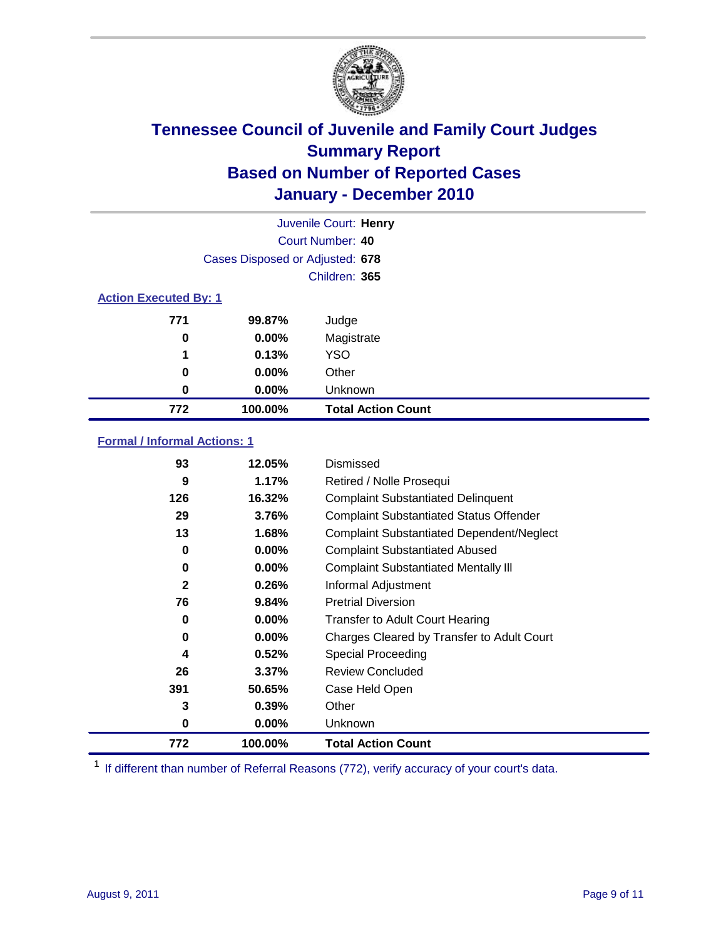

|                              | Juvenile Court: Henry           |                           |  |  |
|------------------------------|---------------------------------|---------------------------|--|--|
|                              | Court Number: 40                |                           |  |  |
|                              | Cases Disposed or Adjusted: 678 |                           |  |  |
|                              | Children: 365                   |                           |  |  |
| <b>Action Executed By: 1</b> |                                 |                           |  |  |
| 771                          | 99.87%                          | Judge                     |  |  |
| 0                            | $0.00\%$                        | Magistrate                |  |  |
| 1                            | 0.13%                           | <b>YSO</b>                |  |  |
| 0                            | $0.00\%$                        | Other                     |  |  |
| 0                            | 0.00%                           | Unknown                   |  |  |
| 772                          | 100.00%                         | <b>Total Action Count</b> |  |  |

### **Formal / Informal Actions: 1**

| 93           | 12.05%   | Dismissed                                        |
|--------------|----------|--------------------------------------------------|
| 9            | 1.17%    | Retired / Nolle Prosequi                         |
| 126          | 16.32%   | <b>Complaint Substantiated Delinquent</b>        |
| 29           | 3.76%    | <b>Complaint Substantiated Status Offender</b>   |
| 13           | 1.68%    | <b>Complaint Substantiated Dependent/Neglect</b> |
| 0            | $0.00\%$ | <b>Complaint Substantiated Abused</b>            |
| 0            | $0.00\%$ | <b>Complaint Substantiated Mentally III</b>      |
| $\mathbf{2}$ | 0.26%    | Informal Adjustment                              |
| 76           | 9.84%    | <b>Pretrial Diversion</b>                        |
| 0            | $0.00\%$ | <b>Transfer to Adult Court Hearing</b>           |
| 0            | $0.00\%$ | Charges Cleared by Transfer to Adult Court       |
| 4            | 0.52%    | Special Proceeding                               |
| 26           | 3.37%    | <b>Review Concluded</b>                          |
| 391          | 50.65%   | Case Held Open                                   |
| 3            | 0.39%    | Other                                            |
| 0            | $0.00\%$ | Unknown                                          |
| 772          | 100.00%  | <b>Total Action Count</b>                        |

<sup>1</sup> If different than number of Referral Reasons (772), verify accuracy of your court's data.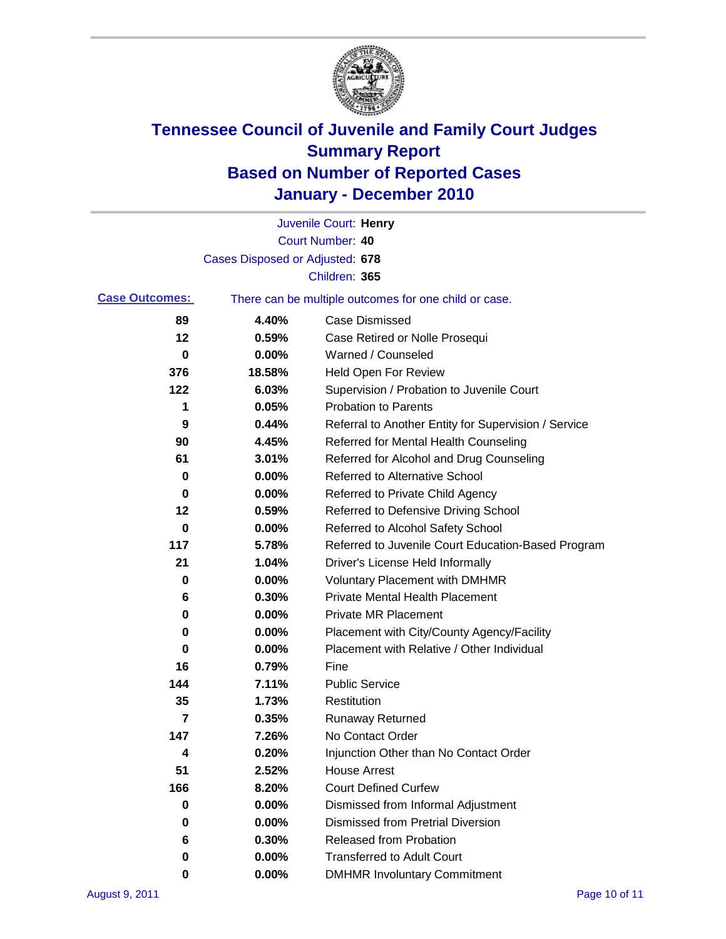

|                       |                                 | Juvenile Court: Henry                                 |
|-----------------------|---------------------------------|-------------------------------------------------------|
|                       |                                 | Court Number: 40                                      |
|                       | Cases Disposed or Adjusted: 678 |                                                       |
|                       |                                 | Children: 365                                         |
| <b>Case Outcomes:</b> |                                 | There can be multiple outcomes for one child or case. |
| 89                    | 4.40%                           | <b>Case Dismissed</b>                                 |
| 12                    | 0.59%                           | Case Retired or Nolle Prosequi                        |
| $\bf{0}$              | 0.00%                           | Warned / Counseled                                    |
| 376                   | 18.58%                          | Held Open For Review                                  |
| 122                   | 6.03%                           | Supervision / Probation to Juvenile Court             |
| 1                     | 0.05%                           | <b>Probation to Parents</b>                           |
| 9                     | 0.44%                           | Referral to Another Entity for Supervision / Service  |
| 90                    | 4.45%                           | Referred for Mental Health Counseling                 |
| 61                    | 3.01%                           | Referred for Alcohol and Drug Counseling              |
| 0                     | 0.00%                           | <b>Referred to Alternative School</b>                 |
| 0                     | 0.00%                           | Referred to Private Child Agency                      |
| 12                    | 0.59%                           | Referred to Defensive Driving School                  |
| 0                     | 0.00%                           | Referred to Alcohol Safety School                     |
| 117                   | 5.78%                           | Referred to Juvenile Court Education-Based Program    |
| 21                    | 1.04%                           | Driver's License Held Informally                      |
| 0                     | 0.00%                           | <b>Voluntary Placement with DMHMR</b>                 |
| 6                     | 0.30%                           | <b>Private Mental Health Placement</b>                |
| 0                     | 0.00%                           | <b>Private MR Placement</b>                           |
| 0                     | 0.00%                           | Placement with City/County Agency/Facility            |
| 0                     | 0.00%                           | Placement with Relative / Other Individual            |
| 16                    | 0.79%                           | Fine                                                  |
| 144                   | 7.11%                           | <b>Public Service</b>                                 |
| 35                    | 1.73%                           | Restitution                                           |
| 7                     | 0.35%                           | <b>Runaway Returned</b>                               |
| 147                   | 7.26%                           | No Contact Order                                      |
| 4                     | 0.20%                           | Injunction Other than No Contact Order                |
| 51                    | 2.52%                           | <b>House Arrest</b>                                   |
| 166                   | 8.20%                           | <b>Court Defined Curfew</b>                           |
| 0                     | $0.00\%$                        | Dismissed from Informal Adjustment                    |
| 0                     | $0.00\%$                        | <b>Dismissed from Pretrial Diversion</b>              |
| 6                     | 0.30%                           | Released from Probation                               |
| 0                     | $0.00\%$                        | <b>Transferred to Adult Court</b>                     |
| 0                     | $0.00\%$                        | <b>DMHMR Involuntary Commitment</b>                   |